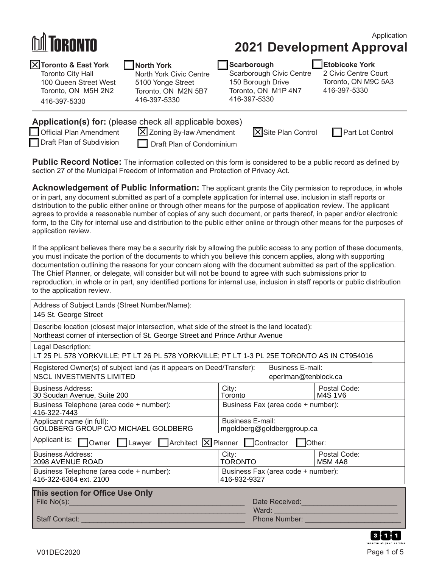# **RANTA**

416-397-5330

## Application

**2021 Development Approval**

| X Toronto & East York    |
|--------------------------|
| <b>Toronto City Hall</b> |
| 100 Queen Street West    |

Toronto, ON M5H 2N2

### **North York**

North York Civic Centre 5100 Yonge Street Toronto, ON M2N 5B7 416-397-5330

| Scarborough              |
|--------------------------|
| Scarborough Civic Centre |
| 150 Borough Drive        |
| Toronto, ON M1P 4N7      |
| 416-397-5330             |

#### **Etobicoke York**

2 Civic Centre Court Toronto, ON M9C 5A3 416-397-5330

| Application(s) for: (please check all applicable boxes) |                                  |                            |                         |  |
|---------------------------------------------------------|----------------------------------|----------------------------|-------------------------|--|
| Official Plan Amendment                                 | X Zoning By-law Amendment        | <b>X</b> Site Plan Control | <b>Part Lot Control</b> |  |
| Draft Plan of Subdivision                               | $\Box$ Draft Plan of Condominium |                            |                         |  |

**Public Record Notice:** The information collected on this form is considered to be a public record as defined by section 27 of the Municipal Freedom of Information and Protection of Privacy Act.

**Acknowledgement of Public Information:** The applicant grants the City permission to reproduce, in whole or in part, any document submitted as part of a complete application for internal use, inclusion in staff reports or distribution to the public either online or through other means for the purpose of application review. The applicant agrees to provide a reasonable number of copies of any such document, or parts thereof, in paper and/or electronic form, to the City for internal use and distribution to the public either online or through other means for the purposes of application review.

If the applicant believes there may be a security risk by allowing the public access to any portion of these documents, you must indicate the portion of the documents to which you believe this concern applies, along with supporting documentation outlining the reasons for your concern along with the document submitted as part of the application. The Chief Planner, or delegate, will consider but will not be bound to agree with such submissions prior to reproduction, in whole or in part, any identified portions for internal use, inclusion in staff reports or public distribution to the application review.

| Address of Subject Lands (Street Number/Name):<br>145 St. George Street                                                                                                        |                                                       |                                                 |                                |
|--------------------------------------------------------------------------------------------------------------------------------------------------------------------------------|-------------------------------------------------------|-------------------------------------------------|--------------------------------|
| Describe location (closest major intersection, what side of the street is the land located):<br>Northeast corner of intersection of St. George Street and Prince Arthur Avenue |                                                       |                                                 |                                |
| Legal Description:<br>LT 25 PL 578 YORKVILLE; PT LT 26 PL 578 YORKVILLE; PT LT 1-3 PL 25E TORONTO AS IN CT954016                                                               |                                                       |                                                 |                                |
| Registered Owner(s) of subject land (as it appears on Deed/Transfer):<br><b>NSCL INVESTMENTS LIMITED</b>                                                                       |                                                       | <b>Business E-mail:</b><br>eperlman@tenblock.ca |                                |
| <b>Business Address:</b><br>30 Soudan Avenue, Suite 200                                                                                                                        | City:<br>Toronto                                      |                                                 | Postal Code:<br>M4S 1V6        |
| Business Telephone (area code + number):<br>416-322-7443                                                                                                                       | Business Fax (area code + number):                    |                                                 |                                |
| Applicant name (in full):<br>GOLDBERG GROUP C/O MICHAEL GOLDBERG                                                                                                               | <b>Business E-mail:</b><br>mgoldberg@goldberggroup.ca |                                                 |                                |
| Applicant is: <b>[</b><br>$\Box$ Owner $\Box$ Lawyer $\Box$ Architect $\Box$ Planner $\Box$ Contractor<br>  Other:                                                             |                                                       |                                                 |                                |
| <b>Business Address:</b><br>2098 AVENUE ROAD                                                                                                                                   | City:<br><b>TORONTO</b>                               |                                                 | Postal Code:<br><b>M5M 4A8</b> |
| Business Telephone (area code + number):<br>416-322-6364 ext. 2100                                                                                                             | Business Fax (area code + number):<br>416-932-9327    |                                                 |                                |
| This section for Office Use Only<br>File No(s): <u>Electricity</u> and the No(s):                                                                                              |                                                       |                                                 | Ward: North March 2014         |
| <b>Staff Contact:</b>                                                                                                                                                          |                                                       | <b>Phone Number: Phone Number:</b>              |                                |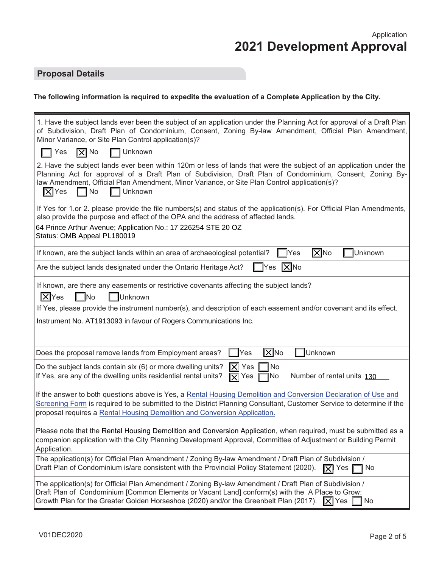## **Proposal Details**

## **The following information is required to expedite the evaluation of a Complete Application by the City.**

| 1. Have the subject lands ever been the subject of an application under the Planning Act for approval of a Draft Plan<br>of Subdivision, Draft Plan of Condominium, Consent, Zoning By-law Amendment, Official Plan Amendment,<br>Minor Variance, or Site Plan Control application(s)?                                                                                                    |
|-------------------------------------------------------------------------------------------------------------------------------------------------------------------------------------------------------------------------------------------------------------------------------------------------------------------------------------------------------------------------------------------|
| $ \overline{X} $ No<br>$\Box$ Unknown<br>Yes                                                                                                                                                                                                                                                                                                                                              |
| 2. Have the subject lands ever been within 120m or less of lands that were the subject of an application under the<br>Planning Act for approval of a Draft Plan of Subdivision, Draft Plan of Condominium, Consent, Zoning By-<br>law Amendment, Official Plan Amendment, Minor Variance, or Site Plan Control application(s)?<br>$ \overline{\mathsf{x}} $ Yes<br>□ No<br>$\Box$ Unknown |
| If Yes for 1.or 2. please provide the file numbers(s) and status of the application(s). For Official Plan Amendments,<br>also provide the purpose and effect of the OPA and the address of affected lands.<br>64 Prince Arthur Avenue; Application No.: 17 226254 STE 20 OZ<br>Status: OMB Appeal PL180019                                                                                |
| $ \overline{X} $ No<br>Unknown<br>Yes<br>If known, are the subject lands within an area of archaeological potential?                                                                                                                                                                                                                                                                      |
|                                                                                                                                                                                                                                                                                                                                                                                           |
| $ \mathsf{X} $ No<br>Are the subject lands designated under the Ontario Heritage Act?<br>$\blacksquare$                                                                                                                                                                                                                                                                                   |
| If known, are there any easements or restrictive covenants affecting the subject lands?<br>$ \mathsf{X} $ Yes<br>Unknown<br><b>No</b><br>If Yes, please provide the instrument number(s), and description of each easement and/or covenant and its effect.<br>Instrument No. AT1913093 in favour of Rogers Communications Inc.                                                            |
| $ \overline{X} $ No<br>Unknown<br>Does the proposal remove lands from Employment areas?<br>Yes                                                                                                                                                                                                                                                                                            |
| <b>No</b><br>$ \mathsf{X} $ Yes<br>Do the subject lands contain six (6) or more dwelling units?<br>If Yes, are any of the dwelling units residential rental units?<br>1No<br>Number of rental units 130<br>$\sqrt{X}$ Yes                                                                                                                                                                 |
| If the answer to both questions above is Yes, a Rental Housing Demolition and Conversion Declaration of Use and<br>Screening Form is required to be submitted to the District Planning Consultant, Customer Service to determine if the<br>proposal requires a Rental Housing Demolition and Conversion Application.                                                                      |
| Please note that the Rental Housing Demolition and Conversion Application, when required, must be submitted as a<br>companion application with the City Planning Development Approval, Committee of Adjustment or Building Permit<br>Application.                                                                                                                                         |
| The application(s) for Official Plan Amendment / Zoning By-law Amendment / Draft Plan of Subdivision /<br>Draft Plan of Condominium is/are consistent with the Provincial Policy Statement (2020).<br>$\mathbf{\nabla}$ Yes<br>ヿ No                                                                                                                                                       |
| The application(s) for Official Plan Amendment / Zoning By-law Amendment / Draft Plan of Subdivision /<br>Draft Plan of Condominium [Common Elements or Vacant Land] conform(s) with the A Place to Grow:<br>Growth Plan for the Greater Golden Horseshoe (2020) and/or the Greenbelt Plan (2017).<br>$ \overline{X} $ Yes $ $<br>No                                                      |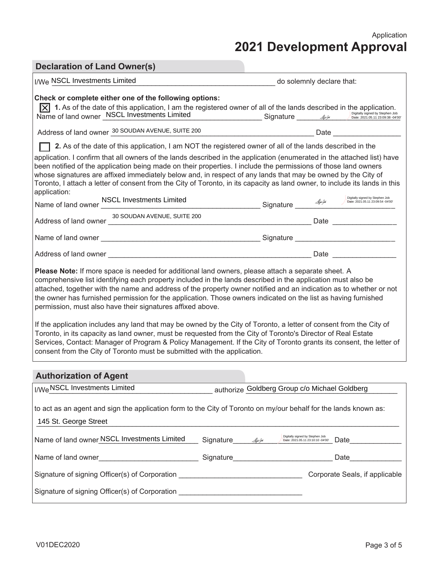Application **2021 Development Approval**

# **Declaration of Land Owner(s)**

| I/We NSCL Investments Limited                                                                                                                                                                                                                                                                                                                                                                                                                                                                                                                                                                                                                                                                                                                                                                                                                                                                                                                                      | do solemnly declare that:                                                                                                                                                                                                              |  |  |
|--------------------------------------------------------------------------------------------------------------------------------------------------------------------------------------------------------------------------------------------------------------------------------------------------------------------------------------------------------------------------------------------------------------------------------------------------------------------------------------------------------------------------------------------------------------------------------------------------------------------------------------------------------------------------------------------------------------------------------------------------------------------------------------------------------------------------------------------------------------------------------------------------------------------------------------------------------------------|----------------------------------------------------------------------------------------------------------------------------------------------------------------------------------------------------------------------------------------|--|--|
| Check or complete either one of the following options:                                                                                                                                                                                                                                                                                                                                                                                                                                                                                                                                                                                                                                                                                                                                                                                                                                                                                                             | <b>1.</b> As of the date of this application, I am the registered owner of all of the lands described in the application.<br>Name of land owner <u>MSCL</u> Investments Limited<br>Signature Signature Bate: 2021.05.11 23.09.38 -9400 |  |  |
|                                                                                                                                                                                                                                                                                                                                                                                                                                                                                                                                                                                                                                                                                                                                                                                                                                                                                                                                                                    | Address of land owner 30 SOUDAN AVENUE, SUITE 200                                                                                                                                                                                      |  |  |
|                                                                                                                                                                                                                                                                                                                                                                                                                                                                                                                                                                                                                                                                                                                                                                                                                                                                                                                                                                    | 2. As of the date of this application, I am NOT the registered owner of all of the lands described in the                                                                                                                              |  |  |
| application. I confirm that all owners of the lands described in the application (enumerated in the attached list) have<br>been notified of the application being made on their properties. I include the permissions of those land owners<br>whose signatures are affixed immediately below and, in respect of any lands that may be owned by the City of<br>Toronto, I attach a letter of consent from the City of Toronto, in its capacity as land owner, to include its lands in this<br>application:                                                                                                                                                                                                                                                                                                                                                                                                                                                          |                                                                                                                                                                                                                                        |  |  |
|                                                                                                                                                                                                                                                                                                                                                                                                                                                                                                                                                                                                                                                                                                                                                                                                                                                                                                                                                                    | Name of land owner <u>NSCL Investments Limited and all proper seconds of seconds of Stephen Job</u> Digitally signed by Stephen Job Stephen Job (Digitally signed by Stephen Job 2021.05.11 23:09:54 -04:00                            |  |  |
|                                                                                                                                                                                                                                                                                                                                                                                                                                                                                                                                                                                                                                                                                                                                                                                                                                                                                                                                                                    |                                                                                                                                                                                                                                        |  |  |
|                                                                                                                                                                                                                                                                                                                                                                                                                                                                                                                                                                                                                                                                                                                                                                                                                                                                                                                                                                    |                                                                                                                                                                                                                                        |  |  |
|                                                                                                                                                                                                                                                                                                                                                                                                                                                                                                                                                                                                                                                                                                                                                                                                                                                                                                                                                                    |                                                                                                                                                                                                                                        |  |  |
| Please Note: If more space is needed for additional land owners, please attach a separate sheet. A<br>comprehensive list identifying each property included in the lands described in the application must also be<br>attached, together with the name and address of the property owner notified and an indication as to whether or not<br>the owner has furnished permission for the application. Those owners indicated on the list as having furnished<br>permission, must also have their signatures affixed above.<br>If the application includes any land that may be owned by the City of Toronto, a letter of consent from the City of<br>Toronto, in its capacity as land owner, must be requested from the City of Toronto's Director of Real Estate<br>Services, Contact: Manager of Program & Policy Management. If the City of Toronto grants its consent, the letter of<br>consent from the City of Toronto must be submitted with the application. |                                                                                                                                                                                                                                        |  |  |
| <b>Authorization of Agent</b>                                                                                                                                                                                                                                                                                                                                                                                                                                                                                                                                                                                                                                                                                                                                                                                                                                                                                                                                      |                                                                                                                                                                                                                                        |  |  |
| I/We NSCL Investments Limited                                                                                                                                                                                                                                                                                                                                                                                                                                                                                                                                                                                                                                                                                                                                                                                                                                                                                                                                      | authorize Goldberg Group c/o Michael Goldberg                                                                                                                                                                                          |  |  |
| 145 St. George Street                                                                                                                                                                                                                                                                                                                                                                                                                                                                                                                                                                                                                                                                                                                                                                                                                                                                                                                                              | to act as an agent and sign the application form to the City of Toronto on my/our behalf for the lands known as:                                                                                                                       |  |  |
| Name of land owner NSCL Investments Limited Signature 44                                                                                                                                                                                                                                                                                                                                                                                                                                                                                                                                                                                                                                                                                                                                                                                                                                                                                                           | Digitally signed by Stephen Job<br>Date: 2021.05.11 23:10:10 -04'00'                                                                                                                                                                   |  |  |
|                                                                                                                                                                                                                                                                                                                                                                                                                                                                                                                                                                                                                                                                                                                                                                                                                                                                                                                                                                    | Date<br><u> 1970 - Alexandria de A</u>                                                                                                                                                                                                 |  |  |
|                                                                                                                                                                                                                                                                                                                                                                                                                                                                                                                                                                                                                                                                                                                                                                                                                                                                                                                                                                    |                                                                                                                                                                                                                                        |  |  |
| Signature of signing Officer(s) of Corporation _________________________________                                                                                                                                                                                                                                                                                                                                                                                                                                                                                                                                                                                                                                                                                                                                                                                                                                                                                   |                                                                                                                                                                                                                                        |  |  |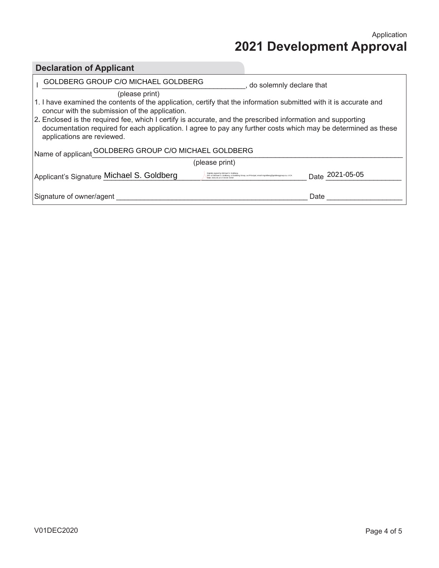Application **2021 Development Approval**

| <b>Declaration of Applicant</b>                                                                                                                                                                                                                             |                                                                                     |  |  |
|-------------------------------------------------------------------------------------------------------------------------------------------------------------------------------------------------------------------------------------------------------------|-------------------------------------------------------------------------------------|--|--|
| GOLDBERG GROUP C/O MICHAEL GOLDBERG                                                                                                                                                                                                                         | do solemnly declare that                                                            |  |  |
| (please print)<br>1. I have examined the contents of the application, certify that the information submitted with it is accurate and<br>concur with the submission of the application.                                                                      |                                                                                     |  |  |
| 2. Enclosed is the required fee, which I certify is accurate, and the prescribed information and supporting<br>documentation required for each application. I agree to pay any further costs which may be determined as these<br>applications are reviewed. |                                                                                     |  |  |
| Name of applicant GOLDBERG GROUP C/O MICHAEL GOLDBERG                                                                                                                                                                                                       |                                                                                     |  |  |
| (please print)                                                                                                                                                                                                                                              |                                                                                     |  |  |
| Applicant's Signature Michael S. Goldberg                                                                                                                                                                                                                   | Date 2021-05-05<br>Soldberg, o=Goldberg Group, ou=Principal, email=mgoldberg@ooldbe |  |  |
| Signature of owner/agent                                                                                                                                                                                                                                    | Date                                                                                |  |  |